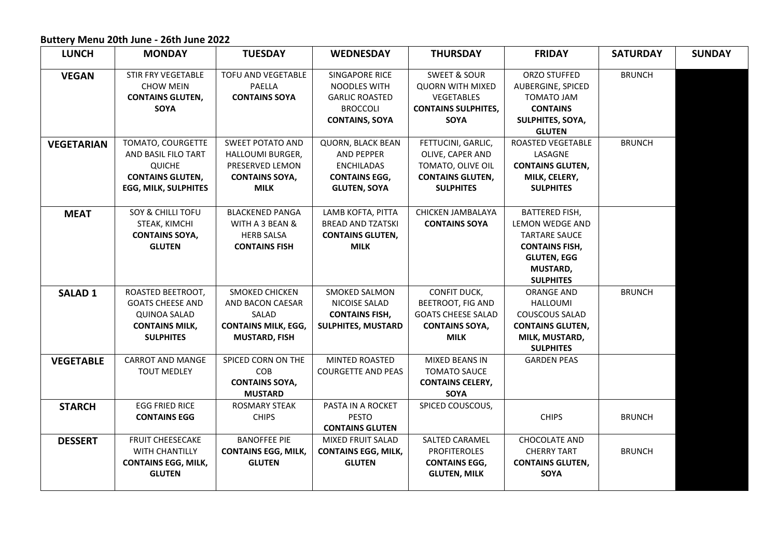## **Buttery Menu 20th June - 26th June 2022**

| <b>LUNCH</b>      | <b>MONDAY</b>                          | <b>TUESDAY</b>                 | <b>WEDNESDAY</b>                      | <b>THURSDAY</b>                       | <b>FRIDAY</b>                   | <b>SATURDAY</b> | <b>SUNDAY</b> |
|-------------------|----------------------------------------|--------------------------------|---------------------------------------|---------------------------------------|---------------------------------|-----------------|---------------|
| <b>VEGAN</b>      | STIR FRY VEGETABLE<br><b>CHOW MEIN</b> | <b>TOFU AND VEGETABLE</b>      | SINGAPORE RICE                        | <b>SWEET &amp; SOUR</b>               | ORZO STUFFED                    | <b>BRUNCH</b>   |               |
|                   | <b>CONTAINS GLUTEN,</b>                | PAELLA<br><b>CONTAINS SOYA</b> | NOODLES WITH<br><b>GARLIC ROASTED</b> | <b>QUORN WITH MIXED</b><br>VEGETABLES | AUBERGINE, SPICED<br>TOMATO JAM |                 |               |
|                   | SOYA                                   |                                | <b>BROCCOLI</b>                       | <b>CONTAINS SULPHITES,</b>            | <b>CONTAINS</b>                 |                 |               |
|                   |                                        |                                | <b>CONTAINS, SOYA</b>                 | <b>SOYA</b>                           | SULPHITES, SOYA,                |                 |               |
|                   |                                        |                                |                                       |                                       | <b>GLUTEN</b>                   |                 |               |
| <b>VEGETARIAN</b> | TOMATO, COURGETTE                      | <b>SWEET POTATO AND</b>        | <b>QUORN, BLACK BEAN</b>              | FETTUCINI, GARLIC,                    | ROASTED VEGETABLE               | <b>BRUNCH</b>   |               |
|                   | AND BASIL FILO TART                    | HALLOUMI BURGER,               | <b>AND PEPPER</b>                     | OLIVE, CAPER AND                      | LASAGNE                         |                 |               |
|                   | <b>QUICHE</b>                          | PRESERVED LEMON                | ENCHILADAS                            | TOMATO, OLIVE OIL                     | <b>CONTAINS GLUTEN,</b>         |                 |               |
|                   | <b>CONTAINS GLUTEN,</b>                | <b>CONTAINS SOYA,</b>          | <b>CONTAINS EGG,</b>                  | <b>CONTAINS GLUTEN,</b>               | MILK, CELERY,                   |                 |               |
|                   | <b>EGG, MILK, SULPHITES</b>            | <b>MILK</b>                    | <b>GLUTEN, SOYA</b>                   | <b>SULPHITES</b>                      | <b>SULPHITES</b>                |                 |               |
|                   |                                        |                                |                                       |                                       |                                 |                 |               |
| <b>MEAT</b>       | SOY & CHILLI TOFU                      | <b>BLACKENED PANGA</b>         | LAMB KOFTA, PITTA                     | CHICKEN JAMBALAYA                     | <b>BATTERED FISH,</b>           |                 |               |
|                   | STEAK, KIMCHI                          | WITH A 3 BEAN &                | <b>BREAD AND TZATSKI</b>              | <b>CONTAINS SOYA</b>                  | LEMON WEDGE AND                 |                 |               |
|                   | <b>CONTAINS SOYA,</b>                  | <b>HERB SALSA</b>              | <b>CONTAINS GLUTEN,</b>               |                                       | <b>TARTARE SAUCE</b>            |                 |               |
|                   | <b>GLUTEN</b>                          | <b>CONTAINS FISH</b>           | <b>MILK</b>                           |                                       | <b>CONTAINS FISH,</b>           |                 |               |
|                   |                                        |                                |                                       |                                       | <b>GLUTEN, EGG</b>              |                 |               |
|                   |                                        |                                |                                       |                                       | MUSTARD,                        |                 |               |
|                   |                                        |                                |                                       |                                       | <b>SULPHITES</b>                |                 |               |
| <b>SALAD 1</b>    | ROASTED BEETROOT,                      | SMOKED CHICKEN                 | <b>SMOKED SALMON</b>                  | CONFIT DUCK,                          | <b>ORANGE AND</b>               | <b>BRUNCH</b>   |               |
|                   | <b>GOATS CHEESE AND</b>                | AND BACON CAESAR               | NICOISE SALAD                         | <b>BEETROOT, FIG AND</b>              | <b>HALLOUMI</b>                 |                 |               |
|                   | <b>QUINOA SALAD</b>                    | SALAD                          | <b>CONTAINS FISH,</b>                 | <b>GOATS CHEESE SALAD</b>             | <b>COUSCOUS SALAD</b>           |                 |               |
|                   | <b>CONTAINS MILK,</b>                  | <b>CONTAINS MILK, EGG,</b>     | <b>SULPHITES, MUSTARD</b>             | <b>CONTAINS SOYA,</b>                 | <b>CONTAINS GLUTEN,</b>         |                 |               |
|                   | <b>SULPHITES</b>                       | <b>MUSTARD, FISH</b>           |                                       | <b>MILK</b>                           | MILK, MUSTARD,                  |                 |               |
|                   |                                        |                                |                                       |                                       | <b>SULPHITES</b>                |                 |               |
| <b>VEGETABLE</b>  | <b>CARROT AND MANGE</b>                | SPICED CORN ON THE             | MINTED ROASTED                        | MIXED BEANS IN                        | <b>GARDEN PEAS</b>              |                 |               |
|                   | <b>TOUT MEDLEY</b>                     | <b>COB</b>                     | <b>COURGETTE AND PEAS</b>             | <b>TOMATO SAUCE</b>                   |                                 |                 |               |
|                   |                                        | <b>CONTAINS SOYA,</b>          |                                       | <b>CONTAINS CELERY,</b>               |                                 |                 |               |
|                   |                                        | <b>MUSTARD</b>                 |                                       | SOYA                                  |                                 |                 |               |
| <b>STARCH</b>     | <b>EGG FRIED RICE</b>                  | <b>ROSMARY STEAK</b>           | PASTA IN A ROCKET                     | SPICED COUSCOUS,                      |                                 |                 |               |
|                   | <b>CONTAINS EGG</b>                    | <b>CHIPS</b>                   | <b>PESTO</b>                          |                                       | <b>CHIPS</b>                    | <b>BRUNCH</b>   |               |
|                   |                                        |                                | <b>CONTAINS GLUTEN</b>                |                                       |                                 |                 |               |
| <b>DESSERT</b>    | FRUIT CHEESECAKE                       | <b>BANOFFEE PIE</b>            | MIXED FRUIT SALAD                     | <b>SALTED CARAMEL</b>                 | <b>CHOCOLATE AND</b>            |                 |               |
|                   | WITH CHANTILLY                         | <b>CONTAINS EGG, MILK,</b>     | <b>CONTAINS EGG, MILK,</b>            | <b>PROFITEROLES</b>                   | <b>CHERRY TART</b>              | <b>BRUNCH</b>   |               |
|                   | <b>CONTAINS EGG, MILK,</b>             | <b>GLUTEN</b>                  | <b>GLUTEN</b>                         | <b>CONTAINS EGG,</b>                  | <b>CONTAINS GLUTEN,</b>         |                 |               |
|                   | <b>GLUTEN</b>                          |                                |                                       | <b>GLUTEN, MILK</b>                   | <b>SOYA</b>                     |                 |               |
|                   |                                        |                                |                                       |                                       |                                 |                 |               |